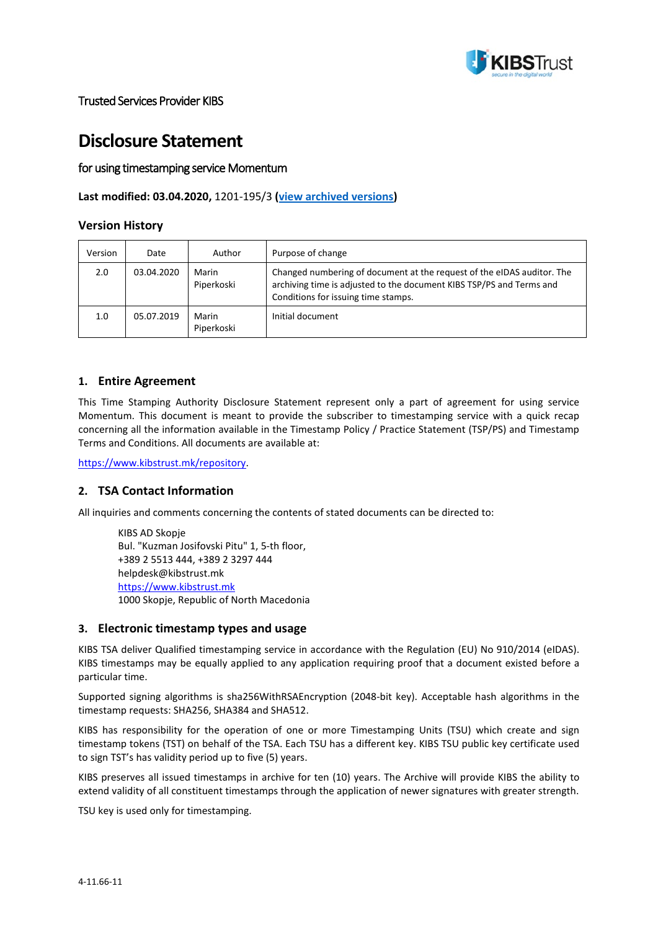

# **Disclosure Statement**

# for using timestamping service Momentum

## **Last modified: 03.04.2020,** 1201-195/3 **[\(view archived versions\)](https://www.kibstrust.mk/repository/IzminatiVerziimk.aspx)**

## **Version History**

| Version | Date       | Author              | Purpose of change                                                                                                                                                                     |
|---------|------------|---------------------|---------------------------------------------------------------------------------------------------------------------------------------------------------------------------------------|
| 2.0     | 03.04.2020 | Marin<br>Piperkoski | Changed numbering of document at the request of the eIDAS auditor. The<br>archiving time is adjusted to the document KIBS TSP/PS and Terms and<br>Conditions for issuing time stamps. |
| 1.0     | 05.07.2019 | Marin<br>Piperkoski | Initial document                                                                                                                                                                      |

#### **1. Entire Agreement**

This Time Stamping Authority Disclosure Statement represent only a part of agreement for using service Momentum. This document is meant to provide the subscriber to timestamping service with a quick recap concerning all the information available in the Timestamp Policy / Practice Statement (TSP/PS) and Timestamp Terms and Conditions. All documents are available at:

<https://www.kibstrust.mk/repository>.

## **2. TSA Contact Information**

All inquiries and comments concerning the contents of stated documents can be directed to:

```
KIBS AD Skopje
Bul. "Kuzman Josifovski Pitu" 1, 5-th floor,
+389 2 5513 444, +389 2 3297 444
helpdesk@kibstrust.mk
https://www.kibstrust.mk
1000 Skopje, Republic of North Macedonia
```
#### **3. Electronic timestamp types and usage**

KIBS TSA deliver Qualified timestamping service in accordance with the Regulation (EU) No 910/2014 (eIDAS). KIBS timestamps may be equally applied to any application requiring proof that a document existed before a particular time.

Supported signing algorithms is sha256WithRSAEncryption (2048-bit key). Acceptable hash algorithms in the timestamp requests: SHA256, SHA384 and SHA512.

KIBS has responsibility for the operation of one or more Timestamping Units (TSU) which create and sign timestamp tokens (TST) on behalf of the TSA. Each TSU has a different key. KIBS TSU public key certificate used to sign TST's has validity period up to five (5) years.

KIBS preserves all issued timestamps in archive for ten (10) years. The Archive will provide KIBS the ability to extend validity of all constituent timestamps through the application of newer signatures with greater strength.

TSU key is used only for timestamping.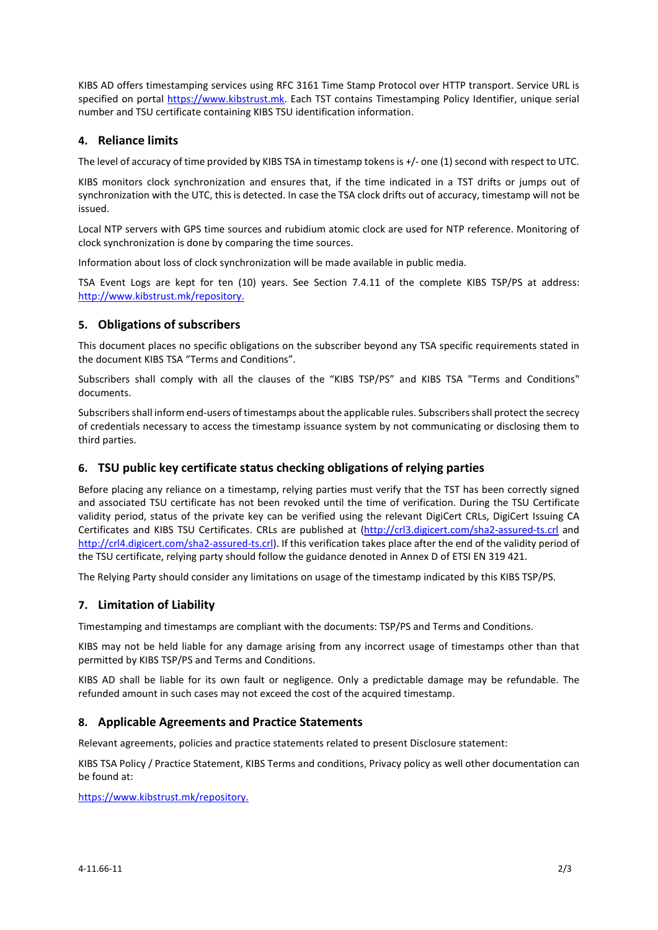KIBS AD offers timestamping services using RFC 3161 Time Stamp Protocol over HTTP transport. Service URL is specified on portal [https://www.kibstrust.mk](https://www.kibstrust.mk/). Each TST contains Timestamping Policy Identifier, unique serial number and TSU certificate containing KIBS TSU identification information.

# **4. Reliance limits**

The level of accuracy of time provided by KIBS TSA in timestamp tokens is +/- one (1) second with respect to UTC.

KIBS monitors clock synchronization and ensures that, if the time indicated in a TST drifts or jumps out of synchronization with the UTC, this is detected. In case the TSA clock drifts out of accuracy, timestamp will not be issued.

Local NTP servers with GPS time sources and rubidium atomic clock are used for NTP reference. Monitoring of clock synchronization is done by comparing the time sources.

Information about loss of clock synchronization will be made available in public media.

TSA Event Logs are kept for ten (10) years. See Section 7.4.11 of the complete KIBS TSP/PS at address: <http://www.kibstrust.mk/repository>.

## **5. Obligations of subscribers**

This document places no specific obligations on the subscriber beyond any TSA specific requirements stated in the document KIBS TSA "Terms and Conditions".

Subscribers shall comply with all the clauses of the "KIBS TSP/PS" and KIBS TSA "Terms and Conditions" documents.

Subscribers shall inform end-users of timestamps about the applicable rules. Subscribers shall protect the secrecy of credentials necessary to access the timestamp issuance system by not communicating or disclosing them to third parties.

## **6. TSU public key certificate status checking obligations of relying parties**

Before placing any reliance on a timestamp, relying parties must verify that the TST has been correctly signed and associated TSU certificate has not been revoked until the time of verification. During the TSU Certificate validity period, status of the private key can be verified using the relevant DigiCert CRLs, DigiCert Issuing CA Certificates and KIBS TSU Certificates. CRLs are published at [\(http://crl3.digicert.com/sha2](http://crl3.digicert.com/sha2-assured-ts.crl)-assured-ts.crl and [http://crl4.digicert.com/sha2](http://crl4.digicert.com/sha2-assured-ts.crl)-assured-ts.crl). If this verification takes place after the end of the validity period of the TSU certificate, relying party should follow the guidance denoted in Annex D of ETSI EN 319 421.

The Relying Party should consider any limitations on usage of the timestamp indicated by this KIBS TSP/PS.

## **7. Limitation of Liability**

Timestamping and timestamps are compliant with the documents: TSP/PS and Terms and Conditions.

KIBS may not be held liable for any damage arising from any incorrect usage of timestamps other than that permitted by KIBS TSP/PS and Terms and Conditions.

KIBS AD shall be liable for its own fault or negligence. Only а predictable damage may be refundable. The refunded amount in such cases may not exceed the cost of the acquired timestamp.

## **8. Applicable Agreements and Practice Statements**

Relevant agreements, policies and practice statements related to present Disclosure statement:

KIBS TSA Policy / Practice Statement, KIBS Terms and conditions, Privacy policy as well other documentation can be found at:

<https://www.kibstrust.mk/repository>.